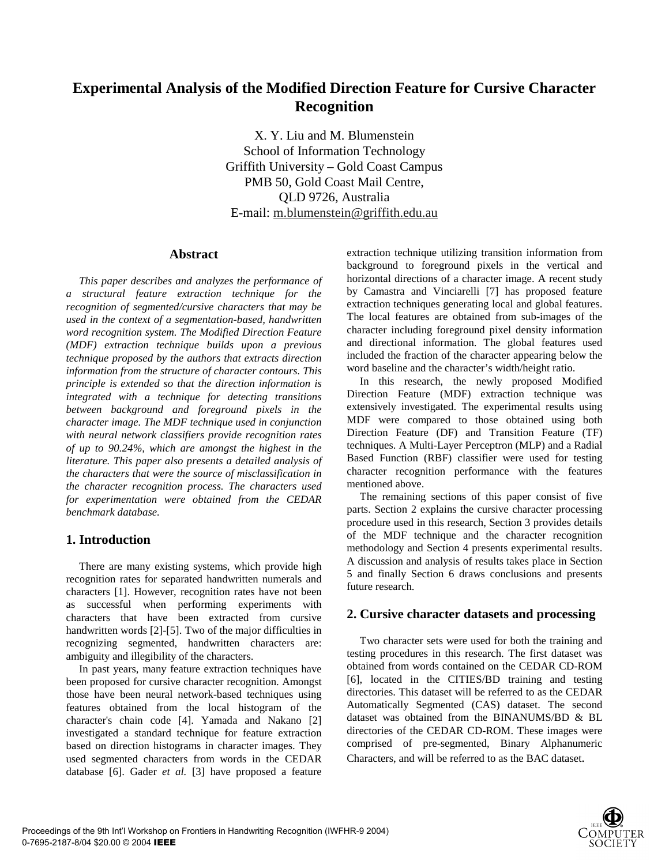# **Experimental Analysis of the Modified Direction Feature for Cursive Character Recognition**

X. Y. Liu and M. Blumenstein School of Information Technology Griffith University – Gold Coast Campus PMB 50, Gold Coast Mail Centre, QLD 9726, Australia E-mail: m.blumenstein@griffith.edu.au

#### **Abstract**

*This paper describes and analyzes the performance of a structural feature extraction technique for the recognition of segmented/cursive characters that may be used in the context of a segmentation-based, handwritten word recognition system. The Modified Direction Feature (MDF) extraction technique builds upon a previous technique proposed by the authors that extracts direction information from the structure of character contours. This principle is extended so that the direction information is integrated with a technique for detecting transitions between background and foreground pixels in the character image. The MDF technique used in conjunction with neural network classifiers provide recognition rates of up to 90.24%, which are amongst the highest in the literature. This paper also presents a detailed analysis of the characters that were the source of misclassification in the character recognition process. The characters used for experimentation were obtained from the CEDAR benchmark database.* 

## **1. Introduction**

There are many existing systems, which provide high recognition rates for separated handwritten numerals and characters [1]. However, recognition rates have not been as successful when performing experiments with characters that have been extracted from cursive handwritten words [2]-[5]. Two of the major difficulties in recognizing segmented, handwritten characters are: ambiguity and illegibility of the characters.

In past years, many feature extraction techniques have been proposed for cursive character recognition. Amongst those have been neural network-based techniques using features obtained from the local histogram of the character's chain code [4]. Yamada and Nakano [2] investigated a standard technique for feature extraction based on direction histograms in character images. They used segmented characters from words in the CEDAR database [6]. Gader *et al.* [3] have proposed a feature

extraction technique utilizing transition information from background to foreground pixels in the vertical and horizontal directions of a character image. A recent study by Camastra and Vinciarelli [7] has proposed feature extraction techniques generating local and global features. The local features are obtained from sub-images of the character including foreground pixel density information and directional information. The global features used included the fraction of the character appearing below the word baseline and the character's width/height ratio.

In this research, the newly proposed Modified Direction Feature (MDF) extraction technique was extensively investigated. The experimental results using MDF were compared to those obtained using both Direction Feature (DF) and Transition Feature (TF) techniques. A Multi-Layer Perceptron (MLP) and a Radial Based Function (RBF) classifier were used for testing character recognition performance with the features mentioned above.

The remaining sections of this paper consist of five parts. Section 2 explains the cursive character processing procedure used in this research, Section 3 provides details of the MDF technique and the character recognition methodology and Section 4 presents experimental results. A discussion and analysis of results takes place in Section 5 and finally Section 6 draws conclusions and presents future research.

#### **2. Cursive character datasets and processing**

Two character sets were used for both the training and testing procedures in this research. The first dataset was obtained from words contained on the CEDAR CD-ROM [6], located in the CITIES/BD training and testing directories. This dataset will be referred to as the CEDAR Automatically Segmented (CAS) dataset. The second dataset was obtained from the BINANUMS/BD & BL directories of the CEDAR CD-ROM. These images were comprised of pre-segmented, Binary Alphanumeric Characters, and will be referred to as the BAC dataset.

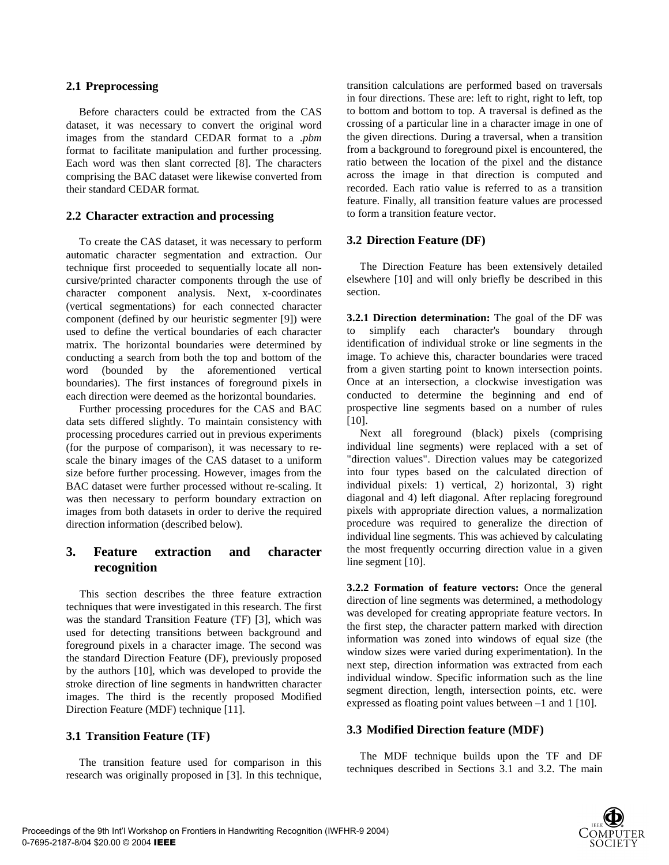#### **2.1 Preprocessing**

Before characters could be extracted from the CAS dataset, it was necessary to convert the original word images from the standard CEDAR format to a *.pbm* format to facilitate manipulation and further processing. Each word was then slant corrected [8]. The characters comprising the BAC dataset were likewise converted from their standard CEDAR format.

#### **2.2 Character extraction and processing**

To create the CAS dataset, it was necessary to perform automatic character segmentation and extraction. Our technique first proceeded to sequentially locate all noncursive/printed character components through the use of character component analysis. Next, x-coordinates (vertical segmentations) for each connected character component (defined by our heuristic segmenter [9]) were used to define the vertical boundaries of each character matrix. The horizontal boundaries were determined by conducting a search from both the top and bottom of the word (bounded by the aforementioned vertical boundaries). The first instances of foreground pixels in each direction were deemed as the horizontal boundaries.

Further processing procedures for the CAS and BAC data sets differed slightly. To maintain consistency with processing procedures carried out in previous experiments (for the purpose of comparison), it was necessary to rescale the binary images of the CAS dataset to a uniform size before further processing. However, images from the BAC dataset were further processed without re-scaling. It was then necessary to perform boundary extraction on images from both datasets in order to derive the required direction information (described below).

## **3. Feature extraction and character recognition**

This section describes the three feature extraction techniques that were investigated in this research. The first was the standard Transition Feature (TF) [3], which was used for detecting transitions between background and foreground pixels in a character image. The second was the standard Direction Feature (DF), previously proposed by the authors [10], which was developed to provide the stroke direction of line segments in handwritten character images. The third is the recently proposed Modified Direction Feature (MDF) technique [11].

## **3.1 Transition Feature (TF)**

The transition feature used for comparison in this research was originally proposed in [3]. In this technique,

transition calculations are performed based on traversals in four directions. These are: left to right, right to left, top to bottom and bottom to top. A traversal is defined as the crossing of a particular line in a character image in one of the given directions. During a traversal, when a transition from a background to foreground pixel is encountered, the ratio between the location of the pixel and the distance across the image in that direction is computed and recorded. Each ratio value is referred to as a transition feature. Finally, all transition feature values are processed to form a transition feature vector.

## **3.2 Direction Feature (DF)**

The Direction Feature has been extensively detailed elsewhere [10] and will only briefly be described in this section.

**3.2.1 Direction determination:** The goal of the DF was to simplify each character's boundary through identification of individual stroke or line segments in the image. To achieve this, character boundaries were traced from a given starting point to known intersection points. Once at an intersection, a clockwise investigation was conducted to determine the beginning and end of prospective line segments based on a number of rules [10].

Next all foreground (black) pixels (comprising individual line segments) were replaced with a set of "direction values". Direction values may be categorized into four types based on the calculated direction of individual pixels: 1) vertical, 2) horizontal, 3) right diagonal and 4) left diagonal. After replacing foreground pixels with appropriate direction values, a normalization procedure was required to generalize the direction of individual line segments. This was achieved by calculating the most frequently occurring direction value in a given line segment [10].

**3.2.2 Formation of feature vectors:** Once the general direction of line segments was determined, a methodology was developed for creating appropriate feature vectors. In the first step, the character pattern marked with direction information was zoned into windows of equal size (the window sizes were varied during experimentation). In the next step, direction information was extracted from each individual window. Specific information such as the line segment direction, length, intersection points, etc. were expressed as floating point values between –1 and 1 [10].

## **3.3 Modified Direction feature (MDF)**

The MDF technique builds upon the TF and DF techniques described in Sections 3.1 and 3.2. The main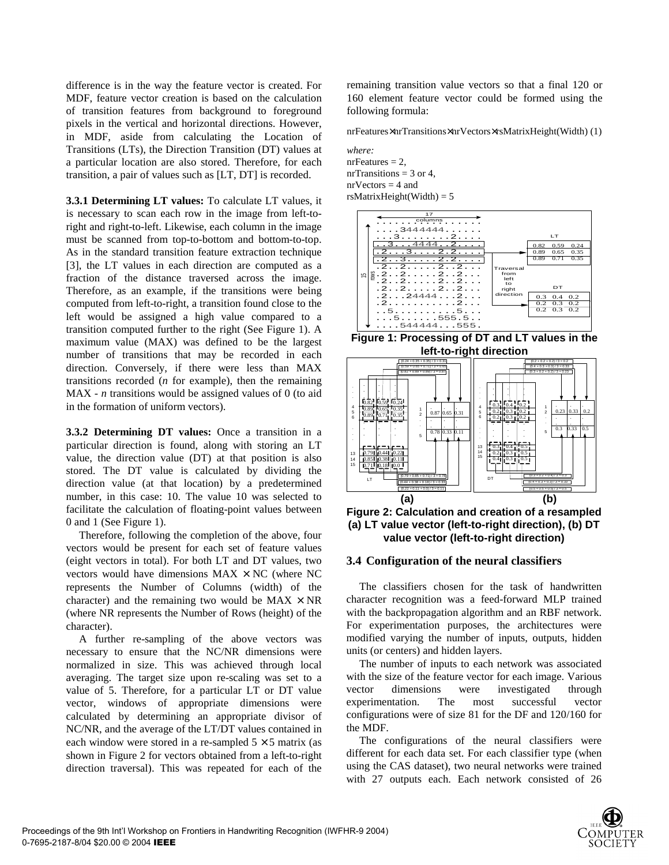difference is in the way the feature vector is created. For MDF, feature vector creation is based on the calculation of transition features from background to foreground pixels in the vertical and horizontal directions. However, in MDF, aside from calculating the Location of Transitions (LTs), the Direction Transition (DT) values at a particular location are also stored. Therefore, for each transition, a pair of values such as [LT, DT] is recorded.

**3.3.1 Determining LT values:** To calculate LT values, it is necessary to scan each row in the image from left-toright and right-to-left. Likewise, each column in the image must be scanned from top-to-bottom and bottom-to-top. As in the standard transition feature extraction technique [3], the LT values in each direction are computed as a fraction of the distance traversed across the image. Therefore, as an example, if the transitions were being computed from left-to-right, a transition found close to the left would be assigned a high value compared to a transition computed further to the right (See Figure 1). A maximum value (MAX) was defined to be the largest number of transitions that may be recorded in each direction. Conversely, if there were less than MAX transitions recorded (*n* for example), then the remaining MAX - *n* transitions would be assigned values of 0 (to aid in the formation of uniform vectors).

**3.3.2 Determining DT values:** Once a transition in a particular direction is found, along with storing an LT value, the direction value (DT) at that position is also stored. The DT value is calculated by dividing the direction value (at that location) by a predetermined number, in this case: 10. The value 10 was selected to facilitate the calculation of floating-point values between 0 and 1 (See Figure 1).

Therefore, following the completion of the above, four vectors would be present for each set of feature values (eight vectors in total). For both LT and DT values, two vectors would have dimensions  $MAX \times NC$  (where NC represents the Number of Columns (width) of the character) and the remaining two would be  $MAX \times NR$ (where NR represents the Number of Rows (height) of the character).

A further re-sampling of the above vectors was necessary to ensure that the NC/NR dimensions were normalized in size. This was achieved through local averaging. The target size upon re-scaling was set to a value of 5. Therefore, for a particular LT or DT value vector, windows of appropriate dimensions were calculated by determining an appropriate divisor of NC/NR, and the average of the LT/DT values contained in each window were stored in a re-sampled  $5 \times 5$  matrix (as shown in Figure 2 for vectors obtained from a left-to-right direction traversal). This was repeated for each of the remaining transition value vectors so that a final 120 or 160 element feature vector could be formed using the following formula:

nrFeatures×nrTransitions×nrVectors×rsMatrixHeight(Width) (1)

*where:*   $nrFeatures = 2$ . nrTransitions =  $3$  or  $4$ ,  $nrVectors = 4$  and  $rsMatrixHeight(Width) = 5$ 



**Figure 1: Processing of DT and LT values in the left-to-right direction** 



**Figure 2: Calculation and creation of a resampled (a) LT value vector (left-to-right direction), (b) DT value vector (left-to-right direction)** 

#### **3.4 Configuration of the neural classifiers**

The classifiers chosen for the task of handwritten character recognition was a feed-forward MLP trained with the backpropagation algorithm and an RBF network. For experimentation purposes, the architectures were modified varying the number of inputs, outputs, hidden units (or centers) and hidden layers.

The number of inputs to each network was associated with the size of the feature vector for each image. Various vector dimensions were investigated through experimentation. The most successful vector configurations were of size 81 for the DF and 120/160 for the MDF.

The configurations of the neural classifiers were different for each data set. For each classifier type (when using the CAS dataset), two neural networks were trained with 27 outputs each. Each network consisted of 26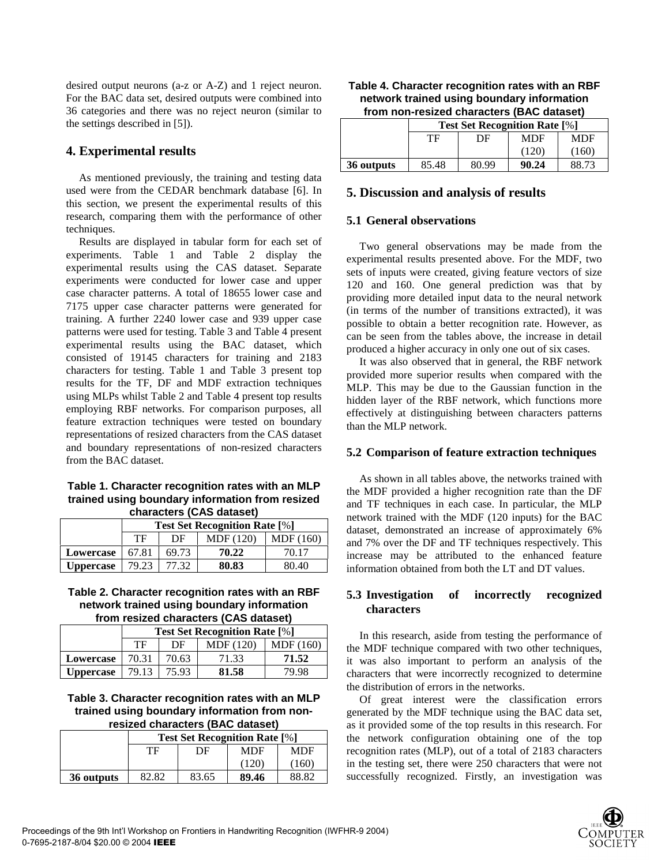desired output neurons (a-z or A-Z) and 1 reject neuron. For the BAC data set, desired outputs were combined into 36 categories and there was no reject neuron (similar to the settings described in [5]).

### **4. Experimental results**

As mentioned previously, the training and testing data used were from the CEDAR benchmark database [6]. In this section, we present the experimental results of this research, comparing them with the performance of other techniques.

Results are displayed in tabular form for each set of experiments. Table 1 and Table 2 display the experimental results using the CAS dataset. Separate experiments were conducted for lower case and upper case character patterns. A total of 18655 lower case and 7175 upper case character patterns were generated for training. A further 2240 lower case and 939 upper case patterns were used for testing. Table 3 and Table 4 present experimental results using the BAC dataset, which consisted of 19145 characters for training and 2183 characters for testing. Table 1 and Table 3 present top results for the TF, DF and MDF extraction techniques using MLPs whilst Table 2 and Table 4 present top results employing RBF networks. For comparison purposes, all feature extraction techniques were tested on boundary representations of resized characters from the CAS dataset and boundary representations of non-resized characters from the BAC dataset.

**Table 1. Character recognition rates with an MLP trained using boundary information from resized characters (CAS dataset)** 

| $\frac{1}{2}$    |                                      |       |           |          |  |
|------------------|--------------------------------------|-------|-----------|----------|--|
|                  | <b>Test Set Recognition Rate [%]</b> |       |           |          |  |
|                  | TF                                   | DF    | MDF (120) | MDF(160) |  |
| Lowercase        | 67.81                                | 69.73 | 70.22     | 70.17    |  |
| <b>Uppercase</b> | 79.23                                | 77.32 | 80.83     | 80.40    |  |

#### **Table 2. Character recognition rates with an RBF network trained using boundary information from resized characters (CAS dataset)**

|                  | <b>Test Set Recognition Rate [%]</b> |       |                  |           |
|------------------|--------------------------------------|-------|------------------|-----------|
|                  | TF                                   | DF    | <b>MDF</b> (120) | MDF (160) |
| Lowercase        | 70.31                                | 70.63 | 71.33            | 71.52     |
| <b>Uppercase</b> | 79.13                                | 75.93 | 81.58            | 79.98     |

**Table 3. Character recognition rates with an MLP trained using boundary information from nonresized characters (BAC dataset)** 

|            | <b>Test Set Recognition Rate [%]</b> |       |            |            |  |
|------------|--------------------------------------|-------|------------|------------|--|
|            | TF                                   | DF    | <b>MDF</b> | <b>MDF</b> |  |
|            |                                      |       | (120)      | (160)      |  |
| 36 outputs | 82.82                                | 83.65 | 89.46      | 88.82      |  |

| Table 4. Character recognition rates with an RBF |
|--------------------------------------------------|
| network trained using boundary information       |
| from non-resized characters (BAC dataset)        |

|            | <b>Test Set Recognition Rate [%]</b> |       |            |            |
|------------|--------------------------------------|-------|------------|------------|
|            | TF                                   | DF    | <b>MDF</b> | <b>MDF</b> |
|            |                                      |       | (120)      | (160       |
| 36 outputs | 85.48                                | 80.99 | 90.24      | 88.73      |

#### **5. Discussion and analysis of results**

#### **5.1 General observations**

Two general observations may be made from the experimental results presented above. For the MDF, two sets of inputs were created, giving feature vectors of size 120 and 160. One general prediction was that by providing more detailed input data to the neural network (in terms of the number of transitions extracted), it was possible to obtain a better recognition rate. However, as can be seen from the tables above, the increase in detail produced a higher accuracy in only one out of six cases.

It was also observed that in general, the RBF network provided more superior results when compared with the MLP. This may be due to the Gaussian function in the hidden layer of the RBF network, which functions more effectively at distinguishing between characters patterns than the MLP network.

#### **5.2 Comparison of feature extraction techniques**

As shown in all tables above, the networks trained with the MDF provided a higher recognition rate than the DF and TF techniques in each case. In particular, the MLP network trained with the MDF (120 inputs) for the BAC dataset, demonstrated an increase of approximately 6% and 7% over the DF and TF techniques respectively. This increase may be attributed to the enhanced feature information obtained from both the LT and DT values.

## **5.3 Investigation of incorrectly recognized characters**

In this research, aside from testing the performance of the MDF technique compared with two other techniques, it was also important to perform an analysis of the characters that were incorrectly recognized to determine the distribution of errors in the networks.

Of great interest were the classification errors generated by the MDF technique using the BAC data set, as it provided some of the top results in this research. For the network configuration obtaining one of the top recognition rates (MLP), out of a total of 2183 characters in the testing set, there were 250 characters that were not successfully recognized. Firstly, an investigation was

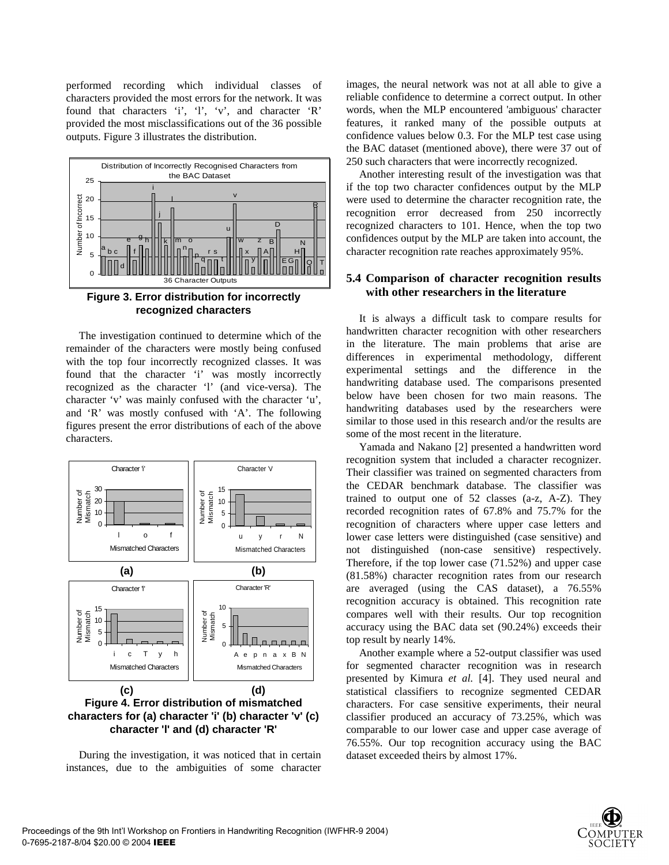performed recording which individual classes of characters provided the most errors for the network. It was found that characters 'i', 'l', 'v', and character 'R' provided the most misclassifications out of the 36 possible outputs. Figure 3 illustrates the distribution.



**Figure 3. Error distribution for incorrectly recognized characters** 

The investigation continued to determine which of the remainder of the characters were mostly being confused with the top four incorrectly recognized classes. It was found that the character 'i' was mostly incorrectly recognized as the character 'l' (and vice-versa). The character 'v' was mainly confused with the character 'u', and 'R' was mostly confused with 'A'. The following figures present the error distributions of each of the above characters.



During the investigation, it was noticed that in certain instances, due to the ambiguities of some character images, the neural network was not at all able to give a reliable confidence to determine a correct output. In other words, when the MLP encountered 'ambiguous' character features, it ranked many of the possible outputs at confidence values below 0.3. For the MLP test case using the BAC dataset (mentioned above), there were 37 out of 250 such characters that were incorrectly recognized.

Another interesting result of the investigation was that if the top two character confidences output by the MLP were used to determine the character recognition rate, the recognition error decreased from 250 incorrectly recognized characters to 101. Hence, when the top two confidences output by the MLP are taken into account, the character recognition rate reaches approximately 95%.

#### **5.4 Comparison of character recognition results with other researchers in the literature**

It is always a difficult task to compare results for handwritten character recognition with other researchers in the literature. The main problems that arise are differences in experimental methodology, different experimental settings and the difference in the handwriting database used. The comparisons presented below have been chosen for two main reasons. The handwriting databases used by the researchers were similar to those used in this research and/or the results are some of the most recent in the literature.

Yamada and Nakano [2] presented a handwritten word recognition system that included a character recognizer. Their classifier was trained on segmented characters from the CEDAR benchmark database. The classifier was trained to output one of 52 classes (a-z, A-Z). They recorded recognition rates of 67.8% and 75.7% for the recognition of characters where upper case letters and lower case letters were distinguished (case sensitive) and not distinguished (non-case sensitive) respectively. Therefore, if the top lower case (71.52%) and upper case (81.58%) character recognition rates from our research are averaged (using the CAS dataset), a 76.55% recognition accuracy is obtained. This recognition rate compares well with their results. Our top recognition accuracy using the BAC data set (90.24%) exceeds their top result by nearly 14%.

Another example where a 52-output classifier was used for segmented character recognition was in research presented by Kimura *et al.* [4]. They used neural and statistical classifiers to recognize segmented CEDAR characters. For case sensitive experiments, their neural classifier produced an accuracy of 73.25%, which was comparable to our lower case and upper case average of 76.55%. Our top recognition accuracy using the BAC dataset exceeded theirs by almost 17%.